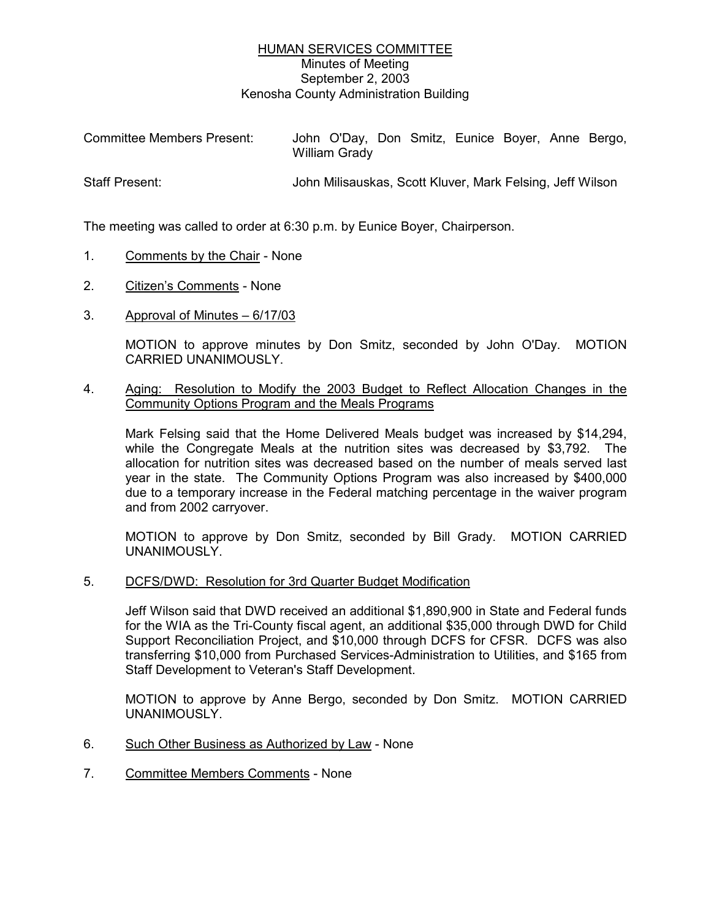## HUMAN SERVICES COMMITTEE Minutes of Meeting September 2, 2003 Kenosha County Administration Building

| Committee Members Present: | John O'Day, Don Smitz, Eunice Boyer, Anne Bergo,<br>William Grady |
|----------------------------|-------------------------------------------------------------------|
| <b>Staff Present:</b>      | John Milisauskas, Scott Kluver, Mark Felsing, Jeff Wilson         |

The meeting was called to order at 6:30 p.m. by Eunice Boyer, Chairperson.

- 1. Comments by the Chair None
- 2. Citizen's Comments None
- 3. Approval of Minutes 6/17/03

MOTION to approve minutes by Don Smitz, seconded by John O'Day. MOTION CARRIED UNANIMOUSLY.

4. Aging: Resolution to Modify the 2003 Budget to Reflect Allocation Changes in the Community Options Program and the Meals Programs

Mark Felsing said that the Home Delivered Meals budget was increased by \$14,294, while the Congregate Meals at the nutrition sites was decreased by \$3,792. The allocation for nutrition sites was decreased based on the number of meals served last year in the state. The Community Options Program was also increased by \$400,000 due to a temporary increase in the Federal matching percentage in the waiver program and from 2002 carryover.

MOTION to approve by Don Smitz, seconded by Bill Grady. MOTION CARRIED UNANIMOUSLY.

5. DCFS/DWD: Resolution for 3rd Quarter Budget Modification

Jeff Wilson said that DWD received an additional \$1,890,900 in State and Federal funds for the WIA as the Tri-County fiscal agent, an additional \$35,000 through DWD for Child Support Reconciliation Project, and \$10,000 through DCFS for CFSR. DCFS was also transferring \$10,000 from Purchased Services-Administration to Utilities, and \$165 from Staff Development to Veteran's Staff Development.

MOTION to approve by Anne Bergo, seconded by Don Smitz. MOTION CARRIED UNANIMOUSLY.

- 6. Such Other Business as Authorized by Law None
- 7. Committee Members Comments None